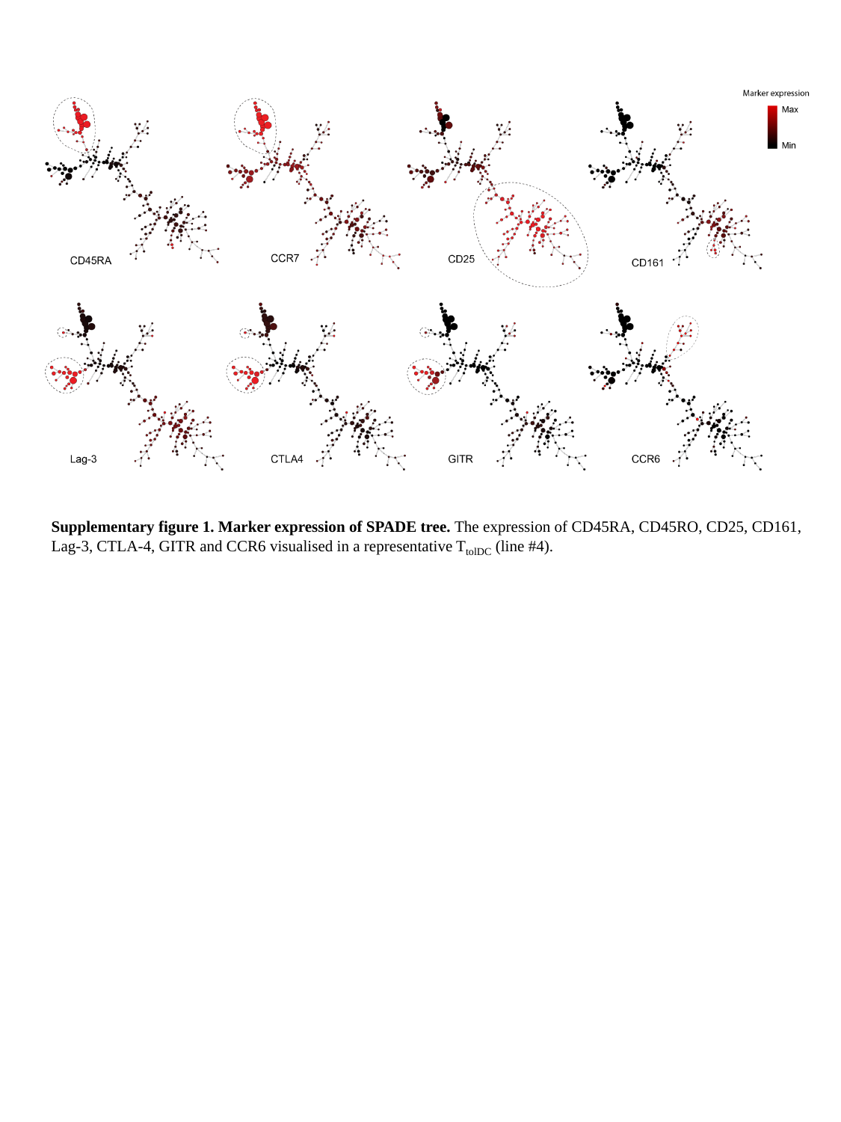

**Supplementary figure 1. Marker expression of SPADE tree.** The expression of CD45RA, CD45RO, CD25, CD161, Lag-3, CTLA-4, GITR and CCR6 visualised in a representative  $T_{\text{tolDC}}$  (line #4).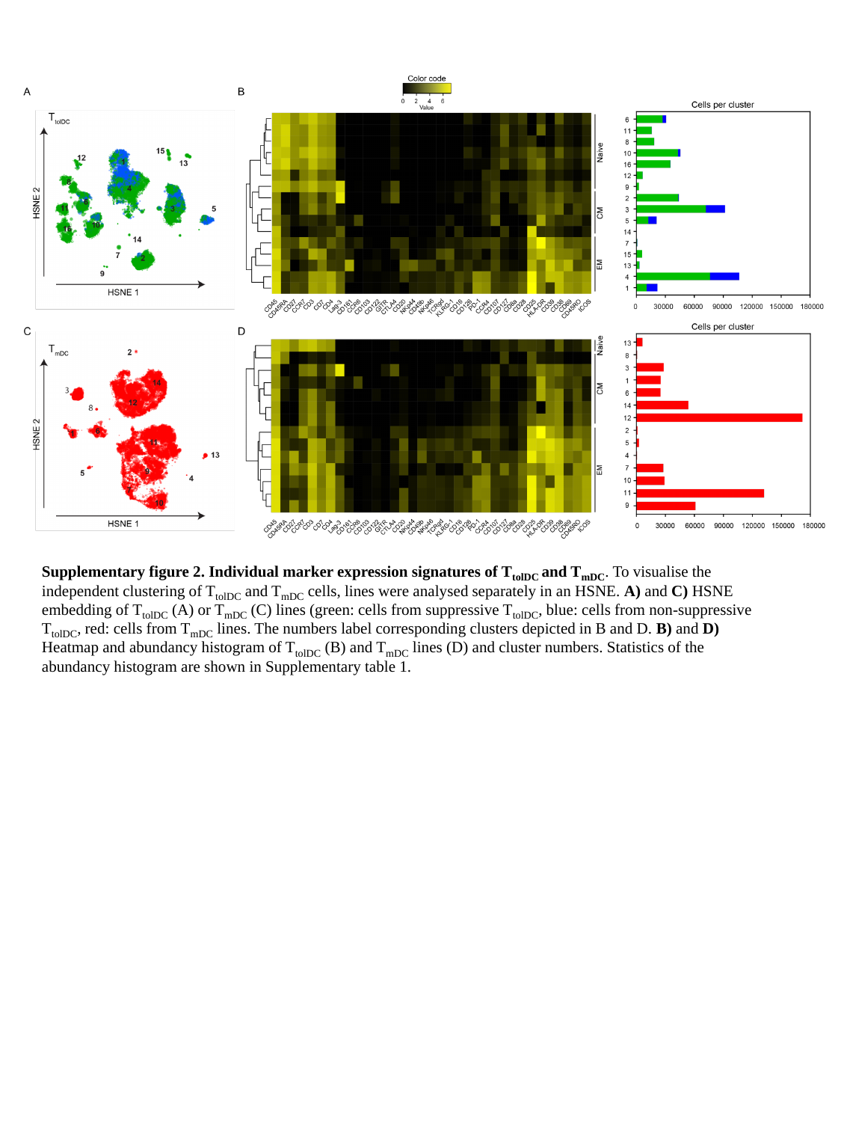

**Supplementary figure 2. Individual marker expression signatures of T<sub>tolDC</sub> and T<sub>mDC</sub>. To visualise the** independent clustering of  $T_{tolDC}$  and  $T_{mDC}$  cells, lines were analysed separately in an HSNE. **A**) and **C**) HSNE embedding of  $T_{tolDC}$  (A) or  $T_{mDC}$  (C) lines (green: cells from suppressive  $T_{tolDC}$ , blue: cells from non-suppressive  $T_{\text{tolDC}}$ , red: cells from  $T_{\text{mDC}}$  lines. The numbers label corresponding clusters depicted in B and D. **B**) and **D**) Heatmap and abundancy histogram of  $T_{tolDC}$  (B) and  $T_{mDC}$  lines (D) and cluster numbers. Statistics of the abundancy histogram are shown in Supplementary table 1.